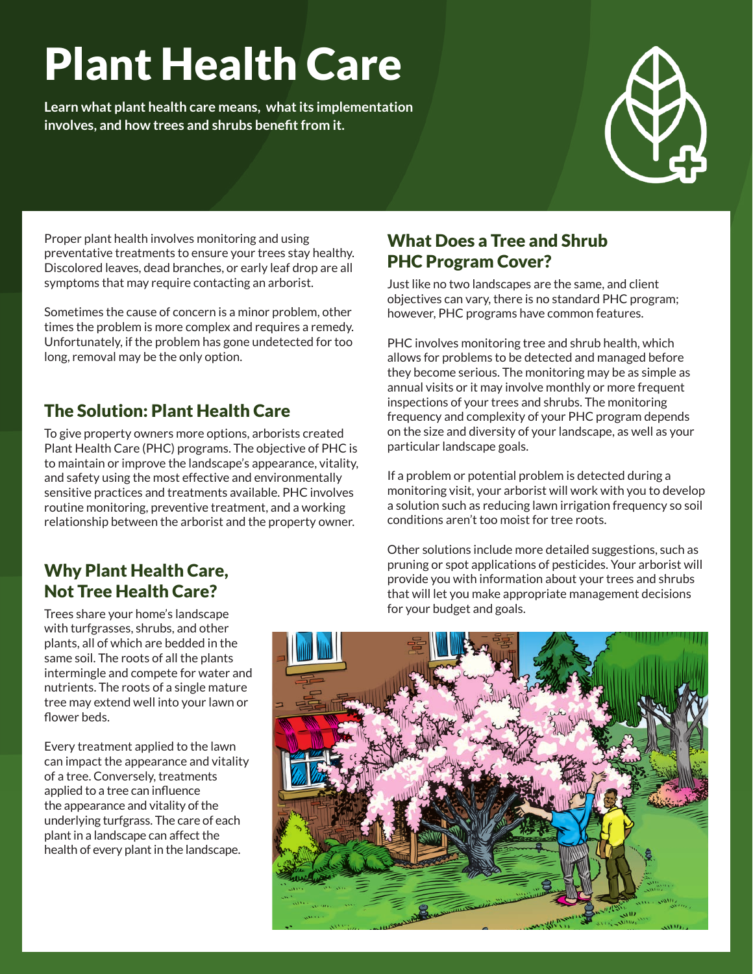# Plant Health Care

**Learn what plant health care means, what its implementation involves, and how trees and shrubs benefit from it.**



Proper plant health involves monitoring and using preventative treatments to ensure your trees stay healthy. Discolored leaves, dead branches, or early leaf drop are all symptoms that may require contacting an arborist.

Sometimes the cause of concern is a minor problem, other times the problem is more complex and requires a remedy. Unfortunately, if the problem has gone undetected for too long, removal may be the only option.

## The Solution: Plant Health Care

To give property owners more options, arborists created Plant Health Care (PHC) programs. The objective of PHC is to maintain or improve the landscape's appearance, vitality, and safety using the most effective and environmentally sensitive practices and treatments available. PHC involves routine monitoring, preventive treatment, and a working relationship between the arborist and the property owner.

## Why Plant Health Care, Not Tree Health Care?

Trees share your home's landscape with turfgrasses, shrubs, and other plants, all of which are bedded in the same soil. The roots of all the plants intermingle and compete for water and nutrients. The roots of a single mature tree may extend well into your lawn or flower beds.

Every treatment applied to the lawn can impact the appearance and vitality of a tree. Conversely, treatments applied to a tree can influence the appearance and vitality of the underlying turfgrass. The care of each plant in a landscape can affect the health of every plant in the landscape.

### What Does a Tree and Shrub PHC Program Cover?

Just like no two landscapes are the same, and client objectives can vary, there is no standard PHC program; however, PHC programs have common features.

PHC involves monitoring tree and shrub health, which allows for problems to be detected and managed before they become serious. The monitoring may be as simple as annual visits or it may involve monthly or more frequent inspections of your trees and shrubs. The monitoring frequency and complexity of your PHC program depends on the size and diversity of your landscape, as well as your particular landscape goals.

If a problem or potential problem is detected during a monitoring visit, your arborist will work with you to develop a solution such as reducing lawn irrigation frequency so soil conditions aren't too moist for tree roots.

Other solutions include more detailed suggestions, such as pruning or spot applications of pesticides. Your arborist will provide you with information about your trees and shrubs that will let you make appropriate management decisions for your budget and goals.